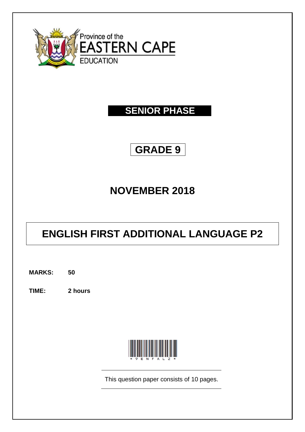

# **SENIOR PHASE**

# **GRADE 9**

# **NOVEMBER 2018**

# **ENGLISH FIRST ADDITIONAL LANGUAGE P2**

**MARKS: 50**

**TIME: 2 hours**



This question paper consists of 10 pages.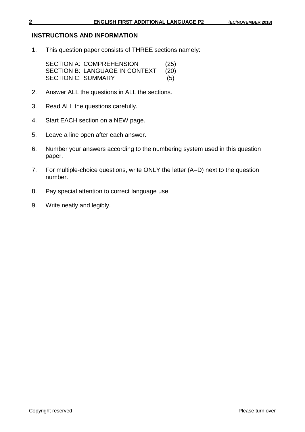#### **INSTRUCTIONS AND INFORMATION**

1. This question paper consists of THREE sections namely:

| <b>SECTION A: COMPREHENSION</b> | (25) |
|---------------------------------|------|
| SECTION B: LANGUAGE IN CONTEXT  | (20) |
| SECTION C: SUMMARY              | (5)  |

- 2. Answer ALL the questions in ALL the sections.
- 3. Read ALL the questions carefully.
- 4. Start EACH section on a NEW page.
- 5. Leave a line open after each answer.
- 6. Number your answers according to the numbering system used in this question paper.
- 7. For multiple-choice questions, write ONLY the letter (A–D) next to the question number.
- 8. Pay special attention to correct language use.
- 9. Write neatly and legibly.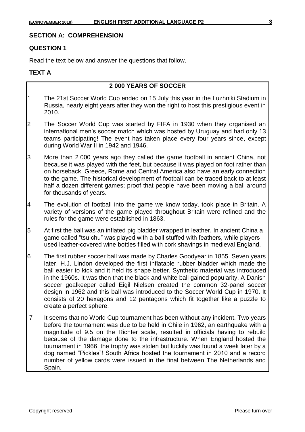# **SECTION A: COMPREHENSION**

#### **QUESTION 1**

Read the text below and answer the questions that follow.

# **TEXT A**

# **2 000 YEARS OF SOCCER**

- 1 The 21st Soccer World Cup ended on 15 July this year in the Luzhniki Stadium in Russia, nearly eight years after they won the right to host this prestigious event in 2010.
- 2 The Soccer World Cup was started by FIFA in 1930 when they organised an international men's soccer match which was hosted by Uruguay and had only 13 teams participating! The event has taken place every four years since, except during World War II in 1942 and 1946.
- 3 More than 2 000 years ago they called the game football in ancient China, not because it was played with the feet, but because it was played on foot rather than on horseback. Greece, Rome and Central America also have an early connection to the game. The historical development of football can be traced back to at least half a dozen different games; proof that people have been moving a ball around for thousands of years.
- 4 The evolution of football into the game we know today, took place in Britain. A variety of versions of the game played throughout Britain were refined and the rules for the game were established in 1863.
- 5 At first the ball was an inflated pig bladder wrapped in leather. In ancient China a game called "tsu chu" was played with a ball stuffed with feathers, while players used leather-covered wine bottles filled with cork shavings in medieval England.
- 6 The first rubber soccer ball was made by Charles Goodyear in 1855. Seven years later, H.J. Lindon developed the first inflatable rubber bladder which made the ball easier to kick and it held its shape better. Synthetic material was introduced in the 1960s. It was then that the black and white ball gained popularity. A Danish soccer goalkeeper called Eigil Nielsen created the common 32-panel soccer design in 1962 and this ball was introduced to the Soccer World Cup in 1970. It consists of 20 hexagons and 12 pentagons which fit together like a puzzle to create a perfect sphere.
- 7 It seems that no World Cup tournament has been without any incident. Two years before the tournament was due to be held in Chile in 1962, an earthquake with a magnitude of 9.5 on the Richter scale, resulted in officials having to rebuild because of the damage done to the infrastructure. When England hosted the tournament in 1966, the trophy was stolen but luckily was found a week later by a dog named "Pickles"! South Africa hosted the tournament in 2010 and a record number of yellow cards were issued in the final between The Netherlands and Spain.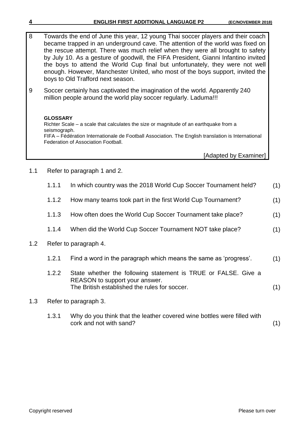| <b>ENGLISH FIRST ADDITIONAL LANGUAGE P2</b> | (EC/NOVEMBER 2018) |
|---------------------------------------------|--------------------|
|---------------------------------------------|--------------------|

8 Towards the end of June this year, 12 young Thai soccer players and their coach became trapped in an underground cave. The attention of the world was fixed on the rescue attempt. There was much relief when they were all brought to safety by July 10. As a gesture of goodwill, the FIFA President, Gianni Infantino invited the boys to attend the World Cup final but unfortunately, they were not well enough. However, Manchester United, who most of the boys support, invited the boys to Old Trafford next season.

9 Soccer certainly has captivated the imagination of the world. Apparently 240 million people around the world play soccer regularly. Laduma!!!

# **GLOSSARY**

Richter Scale – a scale that calculates the size or magnitude of an earthquake from a seismograph. FIFA – Fédération Internationale de Football Association. The English translation is International Federation of Association Football.

[Adapted by Examiner]

1.1 Refer to paragraph 1 and 2.

|     | 1.1.1 | In which country was the 2018 World Cup Soccer Tournament held?                                                                                   | (1) |
|-----|-------|---------------------------------------------------------------------------------------------------------------------------------------------------|-----|
|     | 1.1.2 | How many teams took part in the first World Cup Tournament?                                                                                       | (1) |
|     | 1.1.3 | How often does the World Cup Soccer Tournament take place?                                                                                        | (1) |
|     | 1.1.4 | When did the World Cup Soccer Tournament NOT take place?                                                                                          | (1) |
| 1.2 |       | Refer to paragraph 4.                                                                                                                             |     |
|     | 1.2.1 | Find a word in the paragraph which means the same as 'progress'.                                                                                  | (1) |
|     | 1.2.2 | State whether the following statement is TRUE or FALSE. Give a<br>REASON to support your answer.<br>The British established the rules for soccer. |     |

# 1.3 Refer to paragraph 3.

1.3.1 Why do you think that the leather covered wine bottles were filled with cork and not with sand? (1)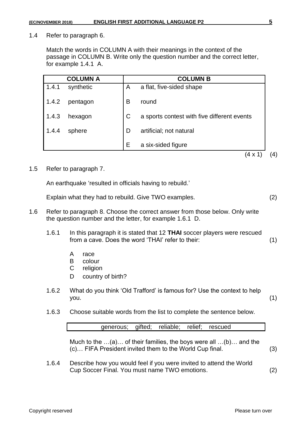1.4 Refer to paragraph 6.

Match the words in COLUMN A with their meanings in the context of the passage in COLUMN B. Write only the question number and the correct letter, for example 1.4.1 A.

|       | <b>COLUMN A</b> |             | <b>COLUMN B</b>                             |
|-------|-----------------|-------------|---------------------------------------------|
| 1.4.1 | synthetic       | A           | a flat, five-sided shape                    |
| 1.4.2 | pentagon        | B           | round                                       |
| 1.4.3 | hexagon         | $\mathsf C$ | a sports contest with five different events |
| 1.4.4 | sphere          | D           | artificial; not natural                     |
|       |                 | E           | a six-sided figure                          |
|       |                 |             | 4 x 1                                       |

#### 1.5 Refer to paragraph 7.

An earthquake 'resulted in officials having to rebuild.'

Explain what they had to rebuild. Give TWO examples. (2)

- 1.6 Refer to paragraph 8. Choose the correct answer from those below. Only write the question number and the letter, for example 1.6.1 D.
	- 1.6.1 In this paragraph it is stated that 12 **THAI** soccer players were rescued from a cave. Does the word 'THAI' refer to their: (1)
		- A race
		- B colour
		- C religion
		- D country of birth?
	- 1.6.2 What do you think 'Old Trafford' is famous for? Use the context to help you. (1)
	- 1.6.3 Choose suitable words from the list to complete the sentence below.

| generous; gifted; reliable; relief; rescued |  |  |  |
|---------------------------------------------|--|--|--|
|                                             |  |  |  |

Much to the …(a)… of their families, the boys were all …(b)… and the (c)… FIFA President invited them to the World Cup final. (3)

1.6.4 Describe how you would feel if you were invited to attend the World Cup Soccer Final. You must name TWO emotions. (2)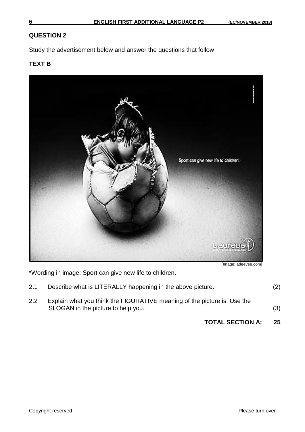# **QUESTION 2**

Study the advertisement below and answer the questions that follow

# **TEXT B**



[Image: adeevee.com]

\*Wording in image: Sport can give new life to children.

|     | <b>TOTAL SECTION A:</b>                                                                                        | 25  |
|-----|----------------------------------------------------------------------------------------------------------------|-----|
| 2.2 | Explain what you think the FIGURATIVE meaning of the picture is. Use the<br>SLOGAN in the picture to help you. | (3) |
| 2.1 | Describe what is LITERALLY happening in the above picture.                                                     | (2) |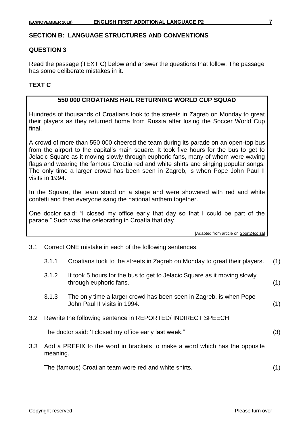#### **SECTION B: LANGUAGE STRUCTURES AND CONVENTIONS**

#### **QUESTION 3**

Read the passage (TEXT C) below and answer the questions that follow. The passage has some deliberate mistakes in it.

#### **TEXT C**

# **550 000 CROATIANS HAIL RETURNING WORLD CUP SQUAD**

Hundreds of thousands of Croatians took to the streets in Zagreb on Monday to great their players as they returned home from Russia after losing the Soccer World Cup final.

A crowd of more than 550 000 cheered the team during its parade on an open-top bus from the airport to the capital's main square. It took five hours for the bus to get to Jelacic Square as it moving slowly through euphoric fans, many of whom were waving flags and wearing the famous Croatia red and white shirts and singing popular songs. The only time a larger crowd has been seen in Zagreb, is when Pope John Paul II visits in 1994.

In the Square, the team stood on a stage and were showered with red and white confetti and then everyone sang the national anthem together.

One doctor said: "I closed my office early that day so that I could be part of the parade." Such was the celebrating in Croatia that day.

[Adapted from article on Sport24co.za]

3.1 Correct ONE mistake in each of the following sentences.

| Croatians took to the streets in Zagreb on Monday to great their players.<br>3.1.1 | s. (1) |  |  |
|------------------------------------------------------------------------------------|--------|--|--|
|------------------------------------------------------------------------------------|--------|--|--|

- 3.1.2 It took 5 hours for the bus to get to Jelacic Square as it moving slowly through euphoric fans. (1)
- 3.1.3 The only time a larger crowd has been seen in Zagreb, is when Pope John Paul II visits in 1994. (1)
- 3.2 Rewrite the following sentence in REPORTED/ INDIRECT SPEECH.

The doctor said: 'I closed my office early last week." (3)

3.3 Add a PREFIX to the word in brackets to make a word which has the opposite meaning.

The (famous) Croatian team wore red and white shirts. (1)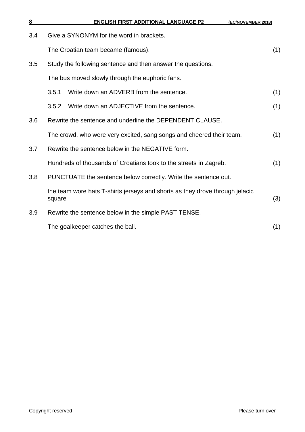| 8   | <b>ENGLISH FIRST ADDITIONAL LANGUAGE P2</b><br>(EC/NOVEMBER 2018)                      |     |
|-----|----------------------------------------------------------------------------------------|-----|
| 3.4 | Give a SYNONYM for the word in brackets.                                               |     |
|     | The Croatian team became (famous).                                                     | (1) |
| 3.5 | Study the following sentence and then answer the questions.                            |     |
|     | The bus moved slowly through the euphoric fans.                                        |     |
|     | Write down an ADVERB from the sentence.<br>3.5.1                                       | (1) |
|     | Write down an ADJECTIVE from the sentence.<br>3.5.2                                    | (1) |
| 3.6 | Rewrite the sentence and underline the DEPENDENT CLAUSE.                               |     |
|     | The crowd, who were very excited, sang songs and cheered their team.                   | (1) |
| 3.7 | Rewrite the sentence below in the NEGATIVE form.                                       |     |
|     | Hundreds of thousands of Croatians took to the streets in Zagreb.                      | (1) |
| 3.8 | PUNCTUATE the sentence below correctly. Write the sentence out.                        |     |
|     | the team wore hats T-shirts jerseys and shorts as they drove through jelacic<br>square | (3) |
| 3.9 | Rewrite the sentence below in the simple PAST TENSE.                                   |     |
|     | The goalkeeper catches the ball.                                                       | (1) |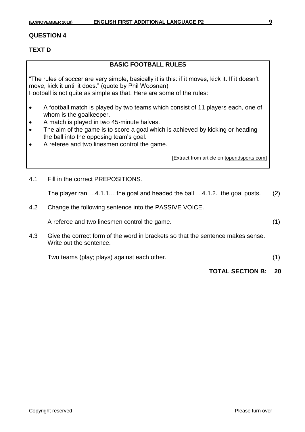#### **QUESTION 4**

# **TEXT D**

# **BASIC FOOTBALL RULES**

"The rules of soccer are very simple, basically it is this: if it moves, kick it. If it doesn't move, kick it until it does." (quote by Phil Woosnan) Football is not quite as simple as that. Here are some of the rules:

- A football match is played by two teams which consist of 11 players each, one of whom is the goalkeeper.
- A match is played in two 45-minute halves.
- The aim of the game is to score a goal which is achieved by kicking or heading the ball into the opposing team's goal.
- A referee and two linesmen control the game.

[Extract from article on topendsports.com]

4.1 Fill in the correct PREPOSITIONS.

The player ran …4.1.1… the goal and headed the ball …4.1.2. the goal posts. (2)

4.2 Change the following sentence into the PASSIVE VOICE.

A referee and two linesmen control the game. (1)

4.3 Give the correct form of the word in brackets so that the sentence makes sense. Write out the sentence.

Two teams (play; plays) against each other. (1)

**TOTAL SECTION B: 20**